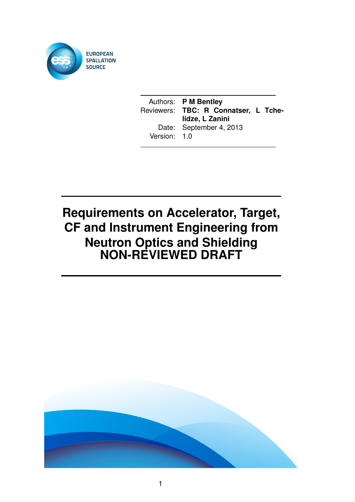

Authors: **P M Bentley** Reviewers: **TBC: R Connatser, L Tchelidze, L Zanini** Date: September 4, 2013 Version: 1.0

# **Requirements on Accelerator, Target, CF and Instrument Engineering from Neutron Optics and Shielding NON-REVIEWED DRAFT**

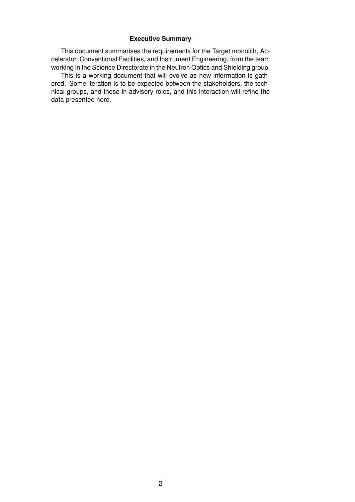#### **Executive Summary**

This document summarises the requirements for the Target monolith, Accelerator, Conventional Facilities, and Instrument Engineering, from the team working in the Science Directorate in the Neutron Optics and Shielding group.

This is a working document that will evolve as new information is gathered. Some iteration is to be expected between the stakeholders, the technical groups, and those in advisory roles, and this interaction will refine the data presented here.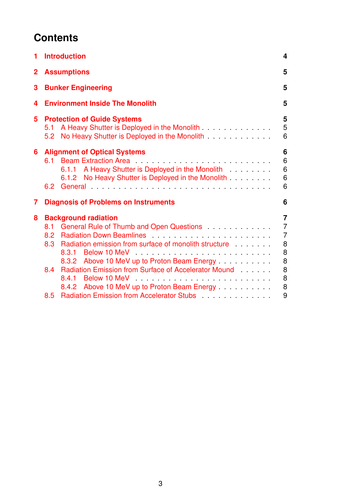## **Contents**

|     |                                                                                                            | 4                                                                                                                                                                                                                                                                                                                                                                                                                                                                                                                                                                                                                                                                                                                                  |
|-----|------------------------------------------------------------------------------------------------------------|------------------------------------------------------------------------------------------------------------------------------------------------------------------------------------------------------------------------------------------------------------------------------------------------------------------------------------------------------------------------------------------------------------------------------------------------------------------------------------------------------------------------------------------------------------------------------------------------------------------------------------------------------------------------------------------------------------------------------------|
|     |                                                                                                            | 5                                                                                                                                                                                                                                                                                                                                                                                                                                                                                                                                                                                                                                                                                                                                  |
|     |                                                                                                            | 5                                                                                                                                                                                                                                                                                                                                                                                                                                                                                                                                                                                                                                                                                                                                  |
|     |                                                                                                            | 5                                                                                                                                                                                                                                                                                                                                                                                                                                                                                                                                                                                                                                                                                                                                  |
|     |                                                                                                            | 5<br>5<br>6                                                                                                                                                                                                                                                                                                                                                                                                                                                                                                                                                                                                                                                                                                                        |
|     | 6.1.1 A Heavy Shutter is Deployed in the Monolith<br>No Heavy Shutter is Deployed in the Monolith<br>6.1.2 | 6<br>6<br>$6\phantom{1}$<br>$6\phantom{1}6$<br>6                                                                                                                                                                                                                                                                                                                                                                                                                                                                                                                                                                                                                                                                                   |
|     |                                                                                                            | 6                                                                                                                                                                                                                                                                                                                                                                                                                                                                                                                                                                                                                                                                                                                                  |
|     |                                                                                                            | $\overline{7}$                                                                                                                                                                                                                                                                                                                                                                                                                                                                                                                                                                                                                                                                                                                     |
|     |                                                                                                            | $\overline{7}$                                                                                                                                                                                                                                                                                                                                                                                                                                                                                                                                                                                                                                                                                                                     |
|     |                                                                                                            | $\overline{7}$                                                                                                                                                                                                                                                                                                                                                                                                                                                                                                                                                                                                                                                                                                                     |
|     |                                                                                                            | 8                                                                                                                                                                                                                                                                                                                                                                                                                                                                                                                                                                                                                                                                                                                                  |
|     |                                                                                                            | 8<br>8                                                                                                                                                                                                                                                                                                                                                                                                                                                                                                                                                                                                                                                                                                                             |
|     |                                                                                                            | 8                                                                                                                                                                                                                                                                                                                                                                                                                                                                                                                                                                                                                                                                                                                                  |
|     |                                                                                                            | 8                                                                                                                                                                                                                                                                                                                                                                                                                                                                                                                                                                                                                                                                                                                                  |
|     |                                                                                                            | 8                                                                                                                                                                                                                                                                                                                                                                                                                                                                                                                                                                                                                                                                                                                                  |
| 8.5 |                                                                                                            | 9                                                                                                                                                                                                                                                                                                                                                                                                                                                                                                                                                                                                                                                                                                                                  |
|     | $8.2\phantom{0}$<br>8.3<br>8.4                                                                             | <b>Introduction</b><br><b>Assumptions</b><br><b>Bunker Engineering</b><br><b>Environment Inside The Monolith</b><br><b>Protection of Guide Systems</b><br>5.1 A Heavy Shutter is Deployed in the Monolith<br>5.2 No Heavy Shutter is Deployed in the Monolith<br><b>Alignment of Optical Systems</b><br>6.2 General<br><b>Diagnosis of Problems on Instruments</b><br><b>Background radiation</b><br>General Rule of Thumb and Open Questions<br>8.1<br>Radiation emission from surface of monolith structure<br>8.3.1<br>8.3.2 Above 10 MeV up to Proton Beam Energy<br>Radiation Emission from Surface of Accelerator Mound<br>8.4.1<br>8.4.2 Above 10 MeV up to Proton Beam Energy<br>Radiation Emission from Accelerator Stubs |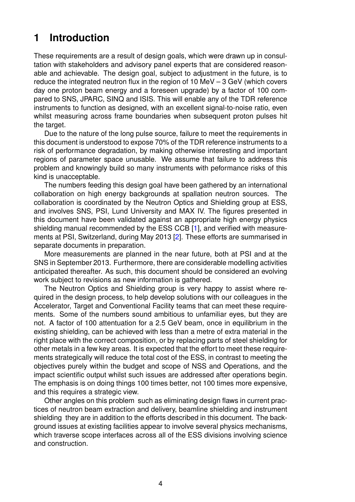### <span id="page-3-0"></span>**1 Introduction**

These requirements are a result of design goals, which were drawn up in consultation with stakeholders and advisory panel experts that are considered reasonable and achievable. The design goal, subject to adjustment in the future, is to reduce the integrated neutron flux in the region of 10 MeV – 3 GeV (which covers day one proton beam energy and a foreseen upgrade) by a factor of 100 compared to SNS, JPARC, SINQ and ISIS. This will enable any of the TDR reference instruments to function as designed, with an excellent signal-to-noise ratio, even whilst measuring across frame boundaries when subsequent proton pulses hit the target.

Due to the nature of the long pulse source, failure to meet the requirements in this document is understood to expose 70% of the TDR reference instruments to a risk of performance degradation, by making otherwise interesting and important regions of parameter space unusable. We assume that failure to address this problem and knowingly build so many instruments with peformance risks of this kind is unacceptable.

The numbers feeding this design goal have been gathered by an international collaboration on high energy backgrounds at spallation neutron sources. The collaboration is coordinated by the Neutron Optics and Shielding group at ESS, and involves SNS, PSI, Lund University and MAX IV. The figures presented in this document have been validated against an appropriate high energy physics shielding manual recommended by the ESS CCB [\[1\]](#page-8-1), and verified with measurements at PSI, Switzerland, during May 2013 [\[2\]](#page-8-2). These efforts are summarised in separate documents in preparation.

More measurements are planned in the near future, both at PSI and at the SNS in September 2013. Furthermore, there are considerable modelling activities anticipated thereafter. As such, this document should be considered an evolving work subject to revisions as new information is gathered.

The Neutron Optics and Shielding group is very happy to assist where required in the design process, to help develop solutions with our colleagues in the Accelerator, Target and Conventional Facility teams that can meet these requirements. Some of the numbers sound ambitious to unfamiliar eyes, but they are not. A factor of 100 attentuation for a 2.5 GeV beam, once in equilibrium in the existing shielding, can be achieved with less than a metre of extra material in the right place with the correct composition, or by replacing parts of steel shielding for other metals in a few key areas. It is expected that the effort to meet these requirements strategically will reduce the total cost of the ESS, in contrast to meeting the objectives purely within the budget and scope of NSS and Operations, and the impact scientific output whilst such issues are addressed after operations begin. The emphasis is on doing things 100 times better, not 100 times more expensive, and this requires a strategic view.

Other angles on this problem such as eliminating design flaws in current practices of neutron beam extraction and delivery, beamline shielding and instrument shielding they are in addition to the efforts described in this document. The background issues at existing facilities appear to involve several physics mechanisms, which traverse scope interfaces across all of the ESS divisions involving science and construction.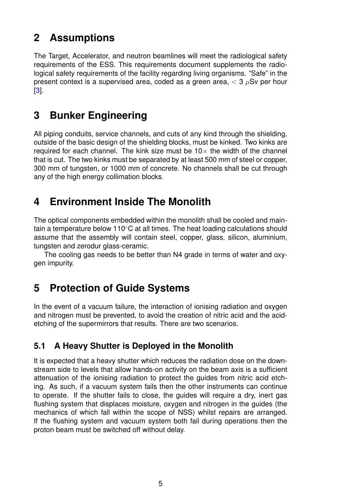### <span id="page-4-0"></span>**2 Assumptions**

The Target, Accelerator, and neutron beamlines will meet the radiological safety requirements of the ESS. This requirements document supplements the radiological safety requirements of the facility regarding living organisms. "Safe" in the present context is a supervised area, coded as a green area,  $<$  3  $\mu$ Sv per hour [\[3\]](#page-8-3).

## <span id="page-4-1"></span>**3 Bunker Engineering**

All piping conduits, service channels, and cuts of any kind through the shielding, outside of the basic design of the shielding blocks, must be kinked. Two kinks are required for each channel. The kink size must be  $10\times$  the width of the channel that is cut. The two kinks must be separated by at least 500 mm of steel or copper, 300 mm of tungsten, or 1000 mm of concrete. No channels shall be cut through any of the high energy collimation blocks.

## <span id="page-4-2"></span>**4 Environment Inside The Monolith**

The optical components embedded within the monolith shall be cooled and maintain a temperature below 110◦C at all times. The heat loading calculations should assume that the assembly will contain steel, copper, glass, silicon, aluminium, tungsten and zerodur glass-ceramic.

The cooling gas needs to be better than N4 grade in terms of water and oxygen impurity.

## <span id="page-4-3"></span>**5 Protection of Guide Systems**

In the event of a vacuum failure, the interaction of ionising radiation and oxygen and nitrogen must be prevented, to avoid the creation of nitric acid and the acidetching of the supermirrors that results. There are two scenarios.

### <span id="page-4-4"></span>**5.1 A Heavy Shutter is Deployed in the Monolith**

It is expected that a heavy shutter which reduces the radiation dose on the downstream side to levels that allow hands-on activity on the beam axis is a sufficient attenuation of the ionising radiation to protect the guides from nitric acid etching. As such, if a vacuum system fails then the other instruments can continue to operate. If the shutter fails to close, the guides will require a dry, inert gas flushing system that displaces moisture, oxygen and nitrogen in the guides (the mechanics of which fall within the scope of NSS) whilst repairs are arranged. If the flushing system and vacuum system both fail during operations then the proton beam must be switched off without delay.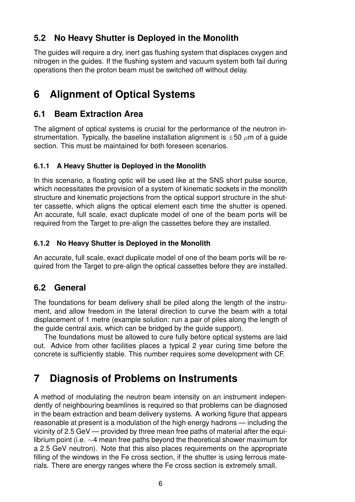### <span id="page-5-0"></span>**5.2 No Heavy Shutter is Deployed in the Monolith**

The guides will require a dry, inert gas flushing system that displaces oxygen and nitrogen in the guides. If the flushing system and vacuum system both fail during operations then the proton beam must be switched off without delay.

## <span id="page-5-1"></span>**6 Alignment of Optical Systems**

### <span id="page-5-2"></span>**6.1 Beam Extraction Area**

The aligment of optical systems is crucial for the performance of the neutron instrumentation. Typically, the baseline installation alignment is  $\pm 50 \ \mu m$  of a guide section. This must be maintained for both foreseen scenarios.

#### <span id="page-5-3"></span>**6.1.1 A Heavy Shutter is Deployed in the Monolith**

In this scenario, a floating optic will be used like at the SNS short pulse source, which necessitates the provision of a system of kinematic sockets in the monolith structure and kinematic projections from the optical support structure in the shutter cassette, which aligns the optical element each time the shutter is opened. An accurate, full scale, exact duplicate model of one of the beam ports will be required from the Target to pre-align the cassettes before they are installed.

#### <span id="page-5-4"></span>**6.1.2 No Heavy Shutter is Deployed in the Monolith**

An accurate, full scale, exact duplicate model of one of the beam ports will be required from the Target to pre-align the optical cassettes before they are installed.

### <span id="page-5-5"></span>**6.2 General**

The foundations for beam delivery shall be piled along the length of the instrument, and allow freedom in the lateral direction to curve the beam with a total displacement of 1 metre (example solution: run a pair of piles along the length of the guide central axis, which can be bridged by the guide support).

The foundations must be allowed to cure fully before optical systems are laid out. Advice from other facilities places a typical 2 year curing time before the concrete is sufficiently stable. This number requires some development with CF.

## <span id="page-5-6"></span>**7 Diagnosis of Problems on Instruments**

A method of modulating the neutron beam intensity on an instrument independently of neighbouring beamlines is required so that problems can be diagnosed in the beam extraction and beam delivery systems. A working figure that appears reasonable at present is a modulation of the high energy hadrons — including the vicinity of 2.5 GeV — provided by three mean free paths of material after the equilibrium point (i.e. ∼4 mean free paths beyond the theoretical shower maximum for a 2.5 GeV neutron). Note that this also places requirements on the appropriate filling of the windows in the Fe cross section, if the shutter is using ferrous materials. There are energy ranges where the Fe cross section is extremely small.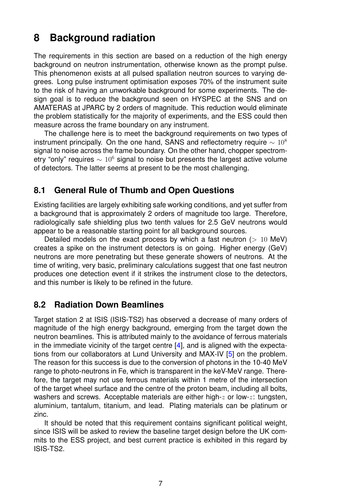## <span id="page-6-0"></span>**8 Background radiation**

The requirements in this section are based on a reduction of the high energy background on neutron instrumentation, otherwise known as the prompt pulse. This phenomenon exists at all pulsed spallation neutron sources to varying degrees. Long pulse instrument optimisation exposes 70% of the instrument suite to the risk of having an unworkable background for some experiments. The design goal is to reduce the background seen on HYSPEC at the SNS and on AMATERAS at JPARC by 2 orders of magnitude. This reduction would eliminate the problem statistically for the majority of experiments, and the ESS could then measure across the frame boundary on any instrument.

The challenge here is to meet the background requirements on two types of instrument principally. On the one hand, SANS and reflectometry require  $\sim 10^8$ signal to noise across the frame boundary. On the other hand, chopper spectrometry "only" requires  $\sim 10^6$  signal to noise but presents the largest active volume of detectors. The latter seems at present to be the most challenging.

### <span id="page-6-1"></span>**8.1 General Rule of Thumb and Open Questions**

Existing facilities are largely exhibiting safe working conditions, and yet suffer from a background that is approximately 2 orders of magnitude too large. Therefore, radiologically safe shielding plus two tenth values for 2.5 GeV neutrons would appear to be a reasonable starting point for all background sources.

Detailed models on the exact process by which a fast neutron  $(> 10 \text{ MeV})$ creates a spike on the instrument detectors is on going. Higher energy (GeV) neutrons are more penetrating but these generate showers of neutrons. At the time of writing, very basic, preliminary calculations suggest that one fast neutron produces one detection event if it strikes the instrument close to the detectors, and this number is likely to be refined in the future.

### <span id="page-6-2"></span>**8.2 Radiation Down Beamlines**

Target station 2 at ISIS (ISIS-TS2) has observed a decrease of many orders of magnitude of the high energy background, emerging from the target down the neutron beamlines. This is attributed mainly to the avoidance of ferrous materials in the immediate vicinity of the target centre [\[4\]](#page-8-4), and is aligned with the expectations from our collaborators at Lund University and MAX-IV [\[5\]](#page-8-5) on the problem. The reason for this success is due to the conversion of photons in the 10-40 MeV range to photo-neutrons in Fe, which is transparent in the keV-MeV range. Therefore, the target may not use ferrous materials within 1 metre of the intersection of the target wheel surface and the centre of the proton beam, including all bolts, washers and screws. Acceptable materials are either high- $z$  or low- $z$ : tungsten, aluminium, tantalum, titanium, and lead. Plating materials can be platinum or zinc.

It should be noted that this requirement contains significant political weight, since ISIS will be asked to review the baseline target design before the UK commits to the ESS project, and best current practice is exhibited in this regard by ISIS-TS2.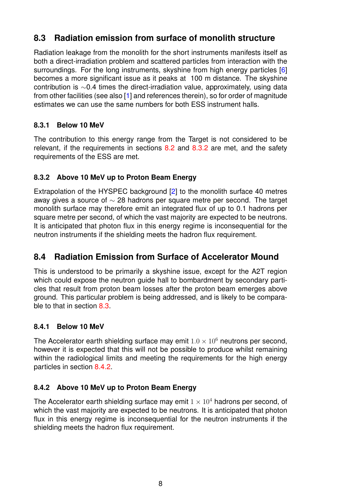### <span id="page-7-0"></span>**8.3 Radiation emission from surface of monolith structure**

Radiation leakage from the monolith for the short instruments manifests itself as both a direct-irradiation problem and scattered particles from interaction with the surroundings. For the long instruments, skyshine from high energy particles [\[6\]](#page-8-6) becomes a more significant issue as it peaks at 100 m distance. The skyshine contribution is ∼0.4 times the direct-irradiation value, approximately, using data from other facilities (see also [\[1\]](#page-8-1) and references therein), so for order of magnitude estimates we can use the same numbers for both ESS instrument halls.

#### <span id="page-7-1"></span>**8.3.1 Below 10 MeV**

The contribution to this energy range from the Target is not considered to be relevant, if the requirements in sections  $8.2$  and  $8.3.2$  are met, and the safety requirements of the ESS are met.

#### <span id="page-7-2"></span>**8.3.2 Above 10 MeV up to Proton Beam Energy**

Extrapolation of the HYSPEC background [\[2\]](#page-8-2) to the monolith surface 40 metres away gives a source of  $\sim$  28 hadrons per square metre per second. The target monolith surface may therefore emit an integrated flux of up to 0.1 hadrons per square metre per second, of which the vast majority are expected to be neutrons. It is anticipated that photon flux in this energy regime is inconsequential for the neutron instruments if the shielding meets the hadron flux requirement.

### <span id="page-7-3"></span>**8.4 Radiation Emission from Surface of Accelerator Mound**

This is understood to be primarily a skyshine issue, except for the A2T region which could expose the neutron guide hall to bombardment by secondary particles that result from proton beam losses after the proton beam emerges above ground. This particular problem is being addressed, and is likely to be comparable to that in section [8.3.](#page-7-0)

#### <span id="page-7-4"></span>**8.4.1 Below 10 MeV**

The Accelerator earth shielding surface may emit  $1.0 \times 10^6$  neutrons per second, however it is expected that this will not be possible to produce whilst remaining within the radiological limits and meeting the requirements for the high energy particles in section [8.4.2.](#page-7-5)

#### <span id="page-7-5"></span>**8.4.2 Above 10 MeV up to Proton Beam Energy**

The Accelerator earth shielding surface may emit  $1 \times 10^4$  hadrons per second, of which the vast majority are expected to be neutrons. It is anticipated that photon flux in this energy regime is inconsequential for the neutron instruments if the shielding meets the hadron flux requirement.